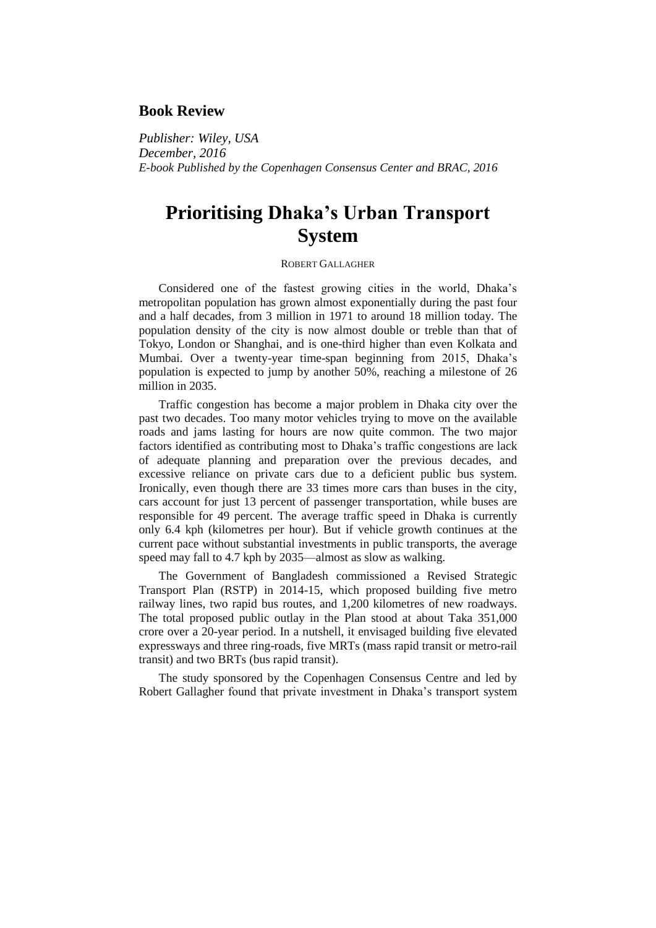## **Book Review**

*Publisher: Wiley, USA December, 2016 E-book Published by the Copenhagen Consensus Center and BRAC, 2016*

## **Prioritising Dhaka's Urban Transport System**

## ROBERT GALLAGHER

Considered one of the fastest growing cities in the world, Dhaka's metropolitan population has grown almost exponentially during the past four and a half decades, from 3 million in 1971 to around 18 million today. The population density of the city is now almost double or treble than that of Tokyo, London or Shanghai, and is one-third higher than even Kolkata and Mumbai. Over a twenty-year time-span beginning from 2015, Dhaka's population is expected to jump by another 50%, reaching a milestone of 26 million in 2035.

Traffic congestion has become a major problem in Dhaka city over the past two decades. Too many motor vehicles trying to move on the available roads and jams lasting for hours are now quite common. The two major factors identified as contributing most to Dhaka's traffic congestions are lack of adequate planning and preparation over the previous decades, and excessive reliance on private cars due to a deficient public bus system. Ironically, even though there are 33 times more cars than buses in the city, cars account for just 13 percent of passenger transportation, while buses are responsible for 49 percent. The average traffic speed in Dhaka is currently only 6.4 kph (kilometres per hour). But if vehicle growth continues at the current pace without substantial investments in public transports, the average speed may fall to 4.7 kph by 2035—almost as slow as walking.

The Government of Bangladesh commissioned a Revised Strategic Transport Plan (RSTP) in 2014-15, which proposed building five metro railway lines, two rapid bus routes, and 1,200 kilometres of new roadways. The total proposed public outlay in the Plan stood at about Taka 351,000 crore over a 20-year period. In a nutshell, it envisaged building five elevated expressways and three ring-roads, five MRTs (mass rapid transit or metro-rail transit) and two BRTs (bus rapid transit).

The study sponsored by the Copenhagen Consensus Centre and led by Robert Gallagher found that private investment in Dhaka's transport system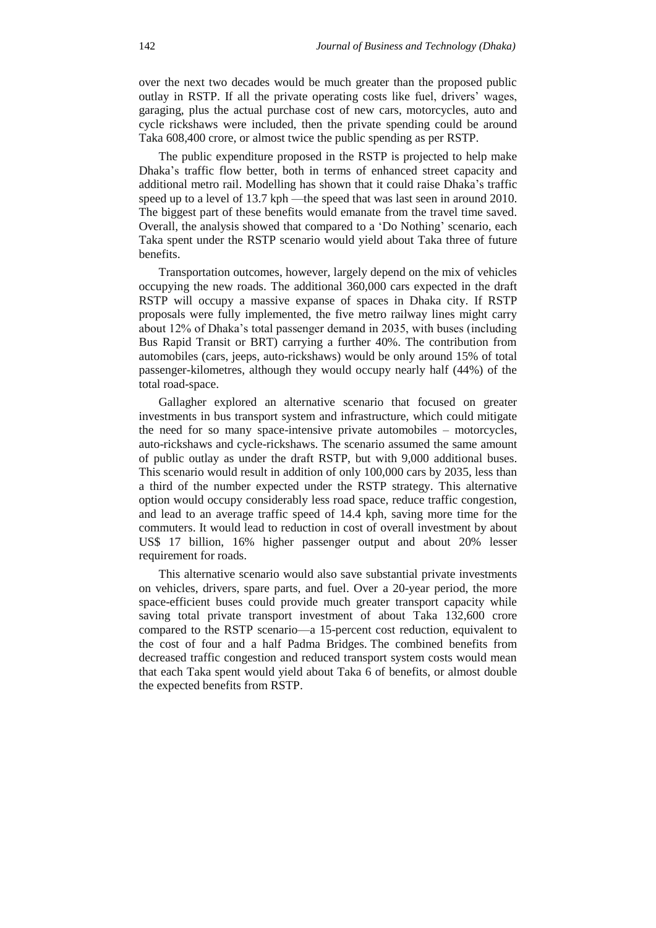over the next two decades would be much greater than the proposed public outlay in RSTP. If all the private operating costs like fuel, drivers' wages, garaging, plus the actual purchase cost of new cars, motorcycles, auto and cycle rickshaws were included, then the private spending could be around Taka 608,400 crore, or almost twice the public spending as per RSTP.

The public expenditure proposed in the RSTP is projected to help make Dhaka's traffic flow better, both in terms of enhanced street capacity and additional metro rail. Modelling has shown that it could raise Dhaka's traffic speed up to a level of 13.7 kph —the speed that was last seen in around 2010. The biggest part of these benefits would emanate from the travel time saved. Overall, the analysis showed that compared to a 'Do Nothing' scenario, each Taka spent under the RSTP scenario would yield about Taka three of future benefits.

Transportation outcomes, however, largely depend on the mix of vehicles occupying the new roads. The additional 360,000 cars expected in the draft RSTP will occupy a massive expanse of spaces in Dhaka city. If RSTP proposals were fully implemented, the five metro railway lines might carry about 12% of Dhaka's total passenger demand in 2035, with buses (including Bus Rapid Transit or BRT) carrying a further 40%. The contribution from automobiles (cars, jeeps, auto-rickshaws) would be only around 15% of total passenger-kilometres, although they would occupy nearly half (44%) of the total road-space.

Gallagher explored an alternative scenario that focused on greater investments in bus transport system and infrastructure, which could mitigate the need for so many space-intensive private automobiles – motorcycles, auto-rickshaws and cycle-rickshaws. The scenario assumed the same amount of public outlay as under the draft RSTP, but with 9,000 additional buses. This scenario would result in addition of only 100,000 cars by 2035, less than a third of the number expected under the RSTP strategy. This alternative option would occupy considerably less road space, reduce traffic congestion, and lead to an average traffic speed of 14.4 kph, saving more time for the commuters. It would lead to reduction in cost of overall investment by about US\$ 17 billion, 16% higher passenger output and about 20% lesser requirement for roads.

This alternative scenario would also save substantial private investments on vehicles, drivers, spare parts, and fuel. Over a 20-year period, the more space-efficient buses could provide much greater transport capacity while saving total private transport investment of about Taka 132,600 crore compared to the RSTP scenario—a 15-percent cost reduction, equivalent to the cost of four and a half Padma Bridges. The combined benefits from decreased traffic congestion and reduced transport system costs would mean that each Taka spent would yield about Taka 6 of benefits, or almost double the expected benefits from RSTP.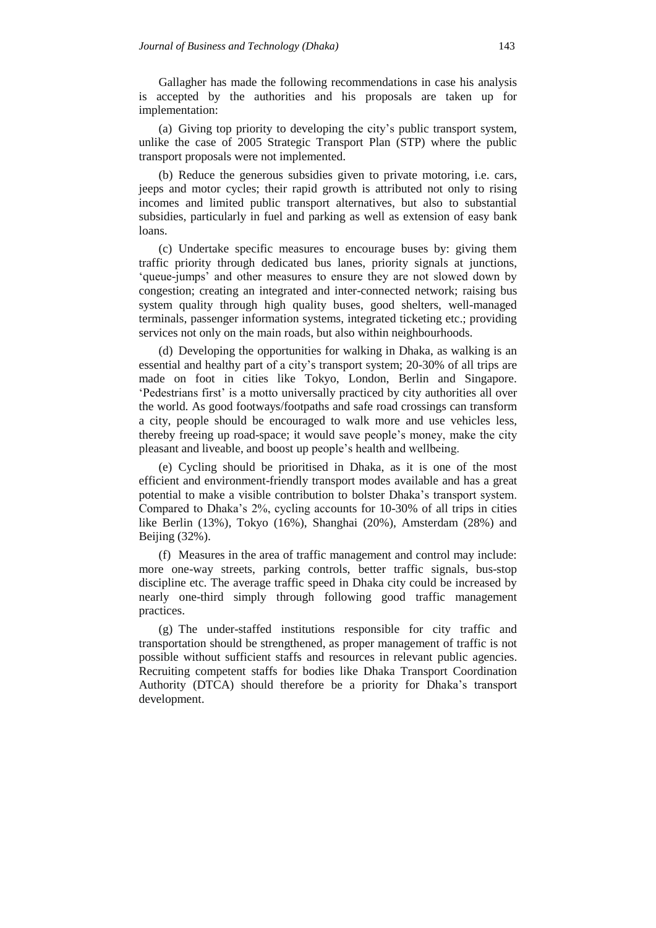Gallagher has made the following recommendations in case his analysis is accepted by the authorities and his proposals are taken up for implementation:

(a) Giving top priority to developing the city's public transport system, unlike the case of 2005 Strategic Transport Plan (STP) where the public transport proposals were not implemented.

(b) Reduce the generous subsidies given to private motoring, i.e. cars, jeeps and motor cycles; their rapid growth is attributed not only to rising incomes and limited public transport alternatives, but also to substantial subsidies, particularly in fuel and parking as well as extension of easy bank loans.

(c) Undertake specific measures to encourage buses by: giving them traffic priority through dedicated bus lanes, priority signals at junctions, 'queue-jumps' and other measures to ensure they are not slowed down by congestion; creating an integrated and inter-connected network; raising bus system quality through high quality buses, good shelters, well-managed terminals, passenger information systems, integrated ticketing etc.; providing services not only on the main roads, but also within neighbourhoods.

(d) Developing the opportunities for walking in Dhaka, as walking is an essential and healthy part of a city's transport system; 20-30% of all trips are made on foot in cities like Tokyo, London, Berlin and Singapore. 'Pedestrians first' is a motto universally practiced by city authorities all over the world. As good footways/footpaths and safe road crossings can transform a city, people should be encouraged to walk more and use vehicles less, thereby freeing up road-space; it would save people's money, make the city pleasant and liveable, and boost up people's health and wellbeing.

(e) Cycling should be prioritised in Dhaka, as it is one of the most efficient and environment-friendly transport modes available and has a great potential to make a visible contribution to bolster Dhaka's transport system. Compared to Dhaka's 2%, cycling accounts for 10-30% of all trips in cities like Berlin (13%), Tokyo (16%), Shanghai (20%), Amsterdam (28%) and Beijing (32%).

(f) Measures in the area of traffic management and control may include: more one-way streets, parking controls, better traffic signals, bus-stop discipline etc. The average traffic speed in Dhaka city could be increased by nearly one-third simply through following good traffic management practices.

(g) The under-staffed institutions responsible for city traffic and transportation should be strengthened, as proper management of traffic is not possible without sufficient staffs and resources in relevant public agencies. Recruiting competent staffs for bodies like Dhaka Transport Coordination Authority (DTCA) should therefore be a priority for Dhaka's transport development.